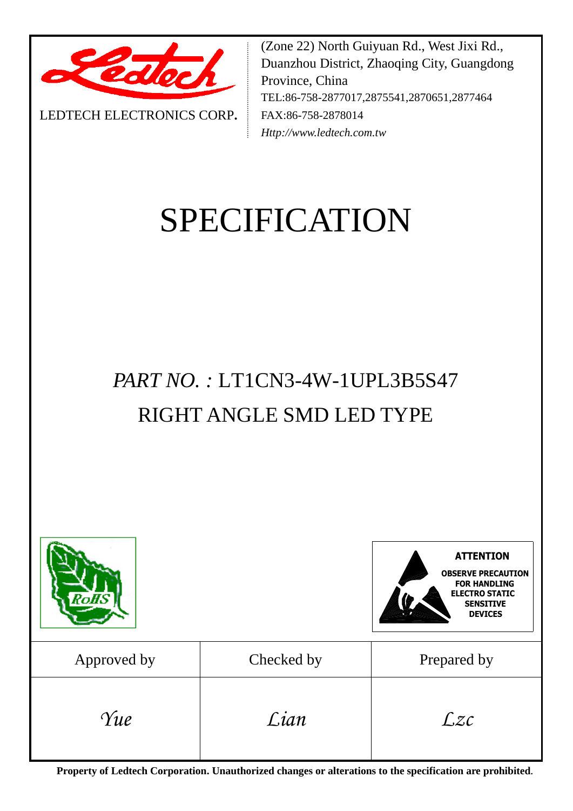

LEDTECH ELECTRONICS CORP**.**

(Zone 22) North Guiyuan Rd., West Jixi Rd., Duanzhou District, Zhaoqing City, Guangdong Province, China TEL:86-758-2877017,2875541,2870651,2877464 FAX:86-758-2878014 *Http://www.ledtech.com.tw*

# SPECIFICATION

# *PART NO. :* LT1CN3-4W-1UPL3B5S47 RIGHT ANGLE SMD LED TYPE

| ?oAS        |            | <b>ATTENTION</b><br><b>OBSERVE PRECAUTION</b><br><b>FOR HANDLING</b><br><b>ELECTRO STATIC</b><br><b>SENSITIVE</b><br><b>DEVICES</b> |
|-------------|------------|-------------------------------------------------------------------------------------------------------------------------------------|
| Approved by | Checked by | Prepared by                                                                                                                         |
| Yue         | Lian       | $\mathcal{Lzc}$                                                                                                                     |

**Property of Ledtech Corporation. Unauthorized changes or alterations to the specification are prohibited***.*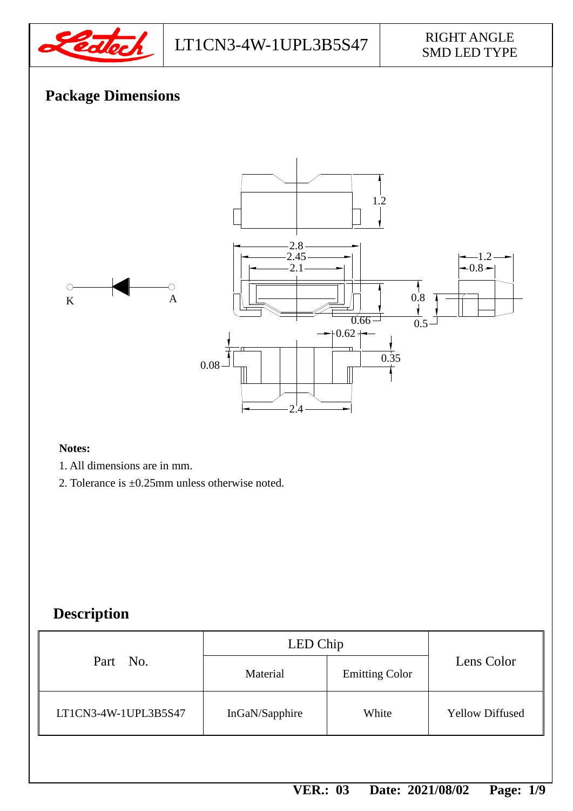

# $LT1CN3-4W-1UPL3B5S47$  RIGHT ANGLE

# SMD LED TYPE

# **Package Dimensions**



#### **Notes:**

- 1. All dimensions are in mm.
- 2. Tolerance is ±0.25mm unless otherwise noted.

# **Description**

|                      | LED Chip       |                       |                        |  |
|----------------------|----------------|-----------------------|------------------------|--|
| Part No.             | Material       | <b>Emitting Color</b> | Lens Color             |  |
| LT1CN3-4W-1UPL3B5S47 | InGaN/Sapphire | White                 | <b>Yellow Diffused</b> |  |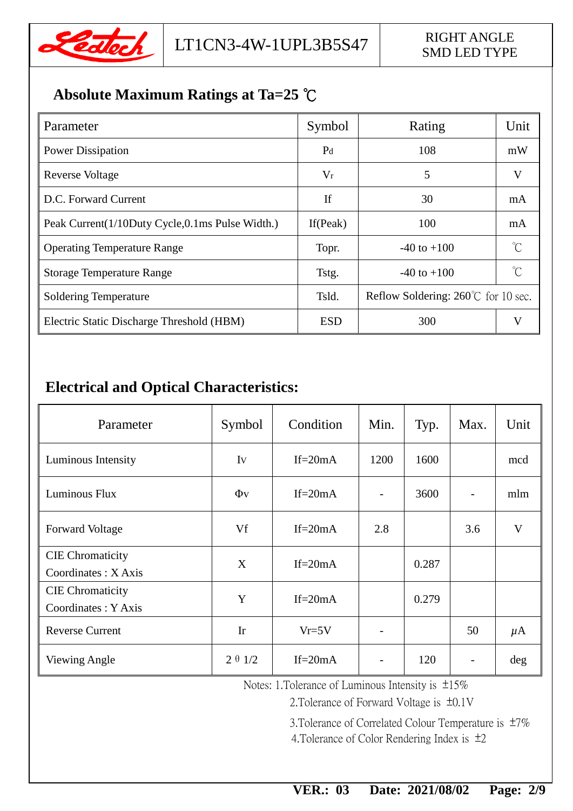

# **Absolute Maximum Ratings at Ta=25** ℃

| Parameter                                       | Symbol         | Rating                                        | Unit         |
|-------------------------------------------------|----------------|-----------------------------------------------|--------------|
| <b>Power Dissipation</b>                        | P <sub>d</sub> | 108                                           | mW           |
| Reverse Voltage                                 | $V_r$          | 5                                             | V            |
| D.C. Forward Current                            | If             | 30                                            | mA           |
| Peak Current(1/10Duty Cycle,0.1ms Pulse Width.) | If (Peak)      | 100                                           | mA           |
| <b>Operating Temperature Range</b>              | Topr.          | $-40$ to $+100$                               | $^{\circ}$ C |
| <b>Storage Temperature Range</b>                | Tstg.          | $-40$ to $+100$                               | $^{\circ}C$  |
| Soldering Temperature                           | Tsld.          | Reflow Soldering: $260^{\circ}$ C for 10 sec. |              |
| Electric Static Discharge Threshold (HBM)       | <b>ESD</b>     | 300                                           | V            |

### **Electrical and Optical Characteristics:**

| Parameter                                      | Symbol         | Condition  | Min. | Typ.  | Max. | Unit         |
|------------------------------------------------|----------------|------------|------|-------|------|--------------|
| Luminous Intensity                             | Iv             | If= $20mA$ | 1200 | 1600  |      | mcd          |
| Luminous Flux                                  | $\Phi$ v       | If= $20mA$ |      | 3600  |      | mlm          |
| <b>Forward Voltage</b>                         | Vf             | If= $20mA$ | 2.8  |       | 3.6  | $\mathbf{V}$ |
| <b>CIE</b> Chromaticity<br>Coordinates: X Axis | X              | If= $20mA$ |      | 0.287 |      |              |
| <b>CIE</b> Chromaticity<br>Coordinates: Y Axis | Y              | If= $20mA$ |      | 0.279 |      |              |
| <b>Reverse Current</b>                         | Ir             | $Vr = 5V$  |      |       | 50   | $\mu$ A      |
| <b>Viewing Angle</b>                           | $2 \theta 1/2$ | If= $20mA$ |      | 120   |      | deg          |

Notes: 1.Tolerance of Luminous Intensity is ±15%

2.Tolerance of Forward Voltage is ±0.1V

3.Tolerance of Correlated Colour Temperature is ±7% 4.Tolerance of Color Rendering Index is ±2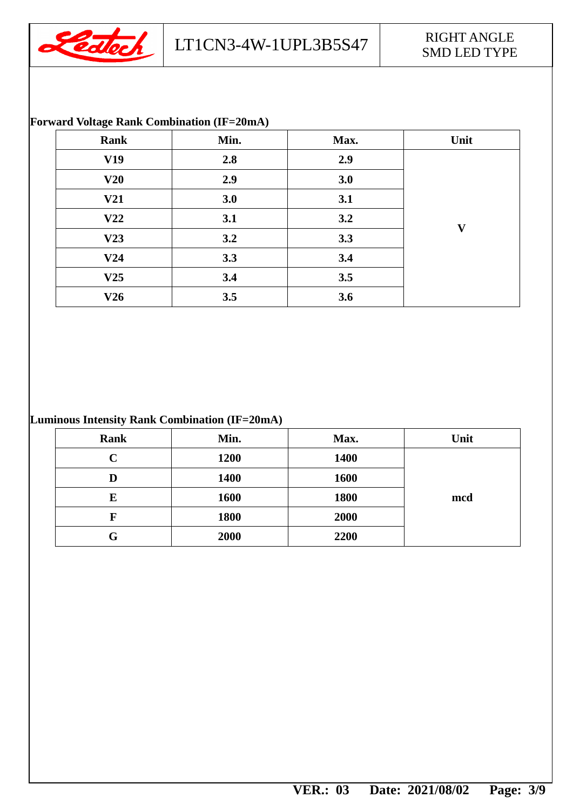

#### **Forward Voltage Rank Combination (IF=20mA)**

| Rank | Min. | Max. | Unit         |
|------|------|------|--------------|
| V19  | 2.8  | 2.9  |              |
| V20  | 2.9  | 3.0  |              |
| V21  | 3.0  | 3.1  |              |
| V22  | 3.1  | 3.2  | $\mathbf{V}$ |
| V23  | 3.2  | 3.3  |              |
| V24  | 3.3  | 3.4  |              |
| V25  | 3.4  | 3.5  |              |
| V26  | 3.5  | 3.6  |              |

#### **Luminous Intensity Rank Combination (IF=20mA)**

| <b>Rank</b>             | Min. | Max. | Unit |
|-------------------------|------|------|------|
| $\overline{\mathbf{C}}$ | 1200 | 1400 |      |
| D                       | 1400 | 1600 |      |
| E                       | 1600 | 1800 | mcd  |
| F                       | 1800 | 2000 |      |
| G                       | 2000 | 2200 |      |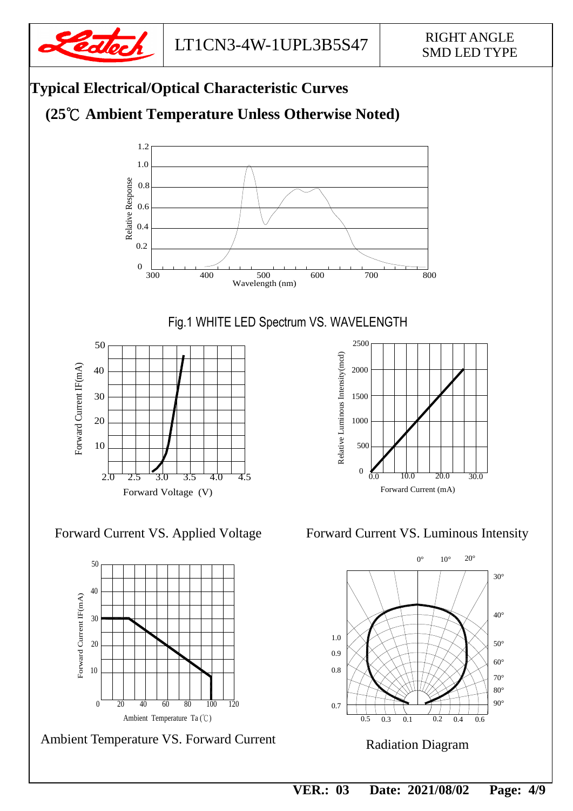





Ambient Temperature VS. Forward Current

Forward Current VS. Applied Voltage Forward Current VS. Luminous Intensity

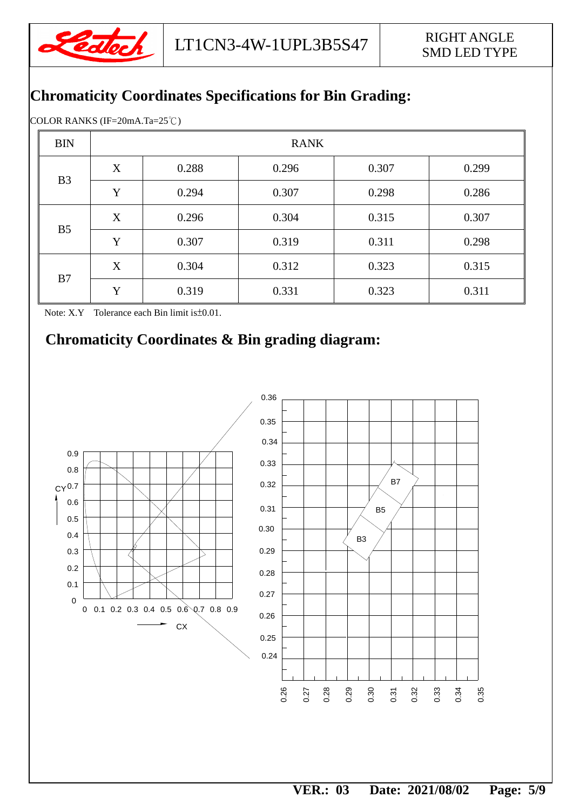

### **Chromaticity Coordinates Specifications for Bin Grading:**

COLOR RANKS (IF=20mA.Ta=25℃)

| <b>BIN</b>     | <b>RANK</b> |       |       |       |       |
|----------------|-------------|-------|-------|-------|-------|
|                | X           | 0.288 | 0.296 | 0.307 | 0.299 |
| B <sub>3</sub> | Y           | 0.294 | 0.307 | 0.298 | 0.286 |
|                | X           | 0.296 | 0.304 | 0.315 | 0.307 |
| B <sub>5</sub> | Y           | 0.307 | 0.319 | 0.311 | 0.298 |
|                | X           | 0.304 | 0.312 | 0.323 | 0.315 |
| B7             | Y           | 0.319 | 0.331 | 0.323 | 0.311 |

Note: X.Y Tolerance each Bin limit is±0.01.

### **Chromaticity Coordinates & Bin grading diagram:**

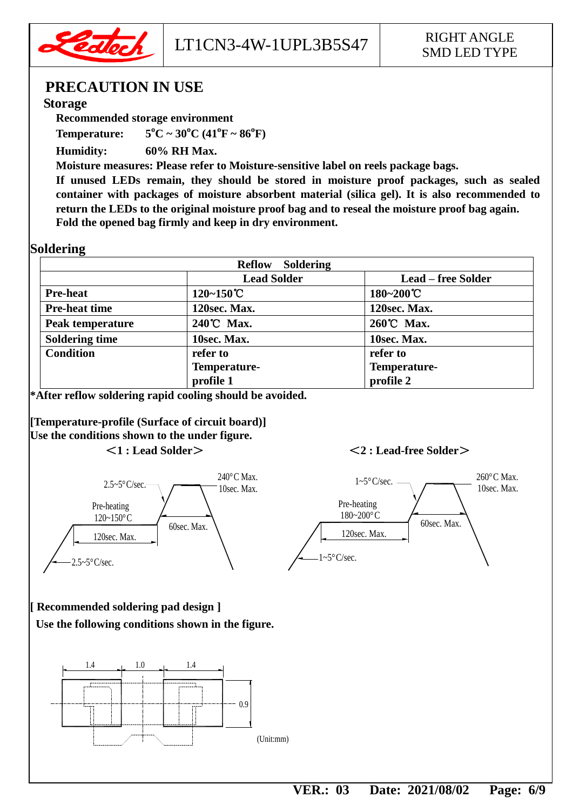

### **PRECAUTION IN USE**

#### **Storage**

**Recommended storage environment**

**Temperature: 5**  ${}^{0}C \sim 30 {}^{0}C (41 {}^{0}F \sim 86 {}^{0}F)$ 

**Humidity: 60% RH Max.**

**Moisture measures: Please refer to Moisture-sensitive label on reels package bags.**

**If unused LEDs remain, they should be stored in moisture proof packages, such as sealed container with packages of moisture absorbent material (silica gel). It is also recommended to return the LEDs to the original moisture proof bag and to reseal the moisture proof bag again. Fold the opened bag firmly and keep in dry environment.**

#### **Soldering**

| <b>Soldering</b><br><b>Reflow</b> |                    |                           |  |  |
|-----------------------------------|--------------------|---------------------------|--|--|
|                                   | <b>Lead Solder</b> | <b>Lead – free Solder</b> |  |  |
| <b>Pre-heat</b>                   | $120 - 150$ °C     | $180 - 200$ °C            |  |  |
| <b>Pre-heat time</b>              | 120sec. Max.       | 120sec. Max.              |  |  |
| Peak temperature                  | 240°C Max.         | 260℃ Max.                 |  |  |
| <b>Soldering time</b>             | 10sec. Max.        | 10sec. Max.               |  |  |
| <b>Condition</b>                  | refer to           | refer to                  |  |  |
|                                   | Temperature-       | Temperature-              |  |  |
|                                   | profile 1          | profile 2                 |  |  |

**\*After reflow soldering rapid cooling should be avoided.**

**[Temperature-profile (Surface of circuit board)] Use the conditions shown to the under figure.** <**1 : Lead Solder**><**2 : Lead-free Solder**>

120sec. Max. 60sec. Max. Pre-heating 120~150°C 2.5~5°C/sec.  $2.5 \sim 5^{\circ}$ C/sec. 240°C Max. 10sec. Max.



#### **[ Recommended soldering pad design ]**

**Use the following conditions shown in the figure.**

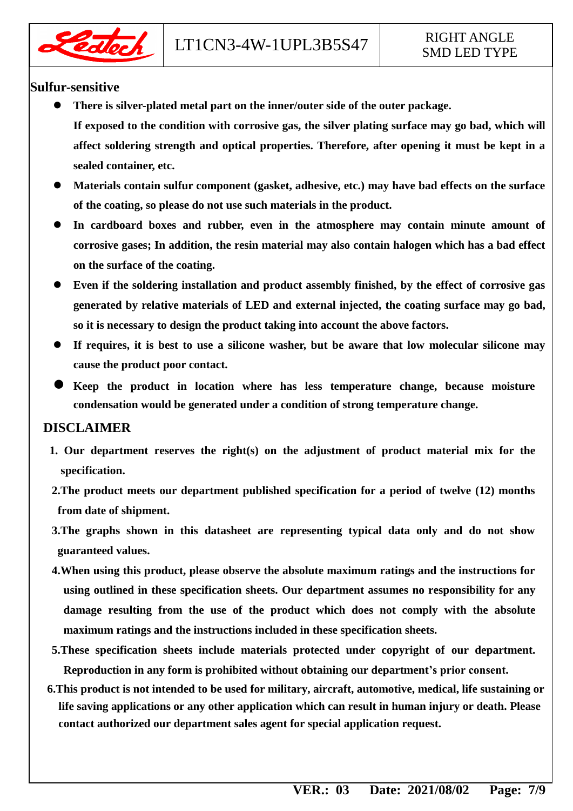

#### **Sulfur-sensitive**

- **There is silver-plated metal part on the inner/outer side of the outer package. If exposed to the condition with corrosive gas, the silver plating surface may go bad, which will affect soldering strength and optical properties. Therefore, after opening it must be kept in a sealed container, etc.**
- **Materials contain sulfur component (gasket, adhesive, etc.) may have bad effects on the surface of the coating, so please do not use such materials in the product.**
- **In cardboard boxes and rubber, even in the atmosphere may contain minute amount of corrosive gases; In addition, the resin material may also contain halogen which has a bad effect on the surface of the coating.**
- **Even if the soldering installation and product assembly finished, by the effect of corrosive gas generated by relative materials of LED and external injected, the coating surface may go bad, so it is necessary to design the product taking into account the above factors.**
- **If requires, it is best to use a silicone washer, but be aware that low molecular silicone may cause the product poor contact.**
- **Keep the product in location where has less temperature change, because moisture condensation would be generated under a condition of strong temperature change.**

#### **DISCLAIMER**

- **1. Our department reserves the right(s) on the adjustment of product material mix for the specification.**
- **2.The product meets our department published specification for a period of twelve (12) months from date of shipment.**
- **3.The graphs shown in this datasheet are representing typical data only and do not show guaranteed values.**
- **4.When using this product, please observe the absolute maximum ratings and the instructions for using outlined in these specification sheets. Our department assumes no responsibility for any damage resulting from the use of the product which does not comply with the absolute maximum ratings and the instructions included in these specification sheets.**
- **5.These specification sheets include materials protected under copyright of our department. Reproduction in any form is prohibited without obtaining our department's prior consent.**
- **6.This product is not intended to be used for military, aircraft, automotive, medical, life sustaining or life saving applications or any other application which can result in human injury or death. Please contact authorized our department sales agent for special application request.**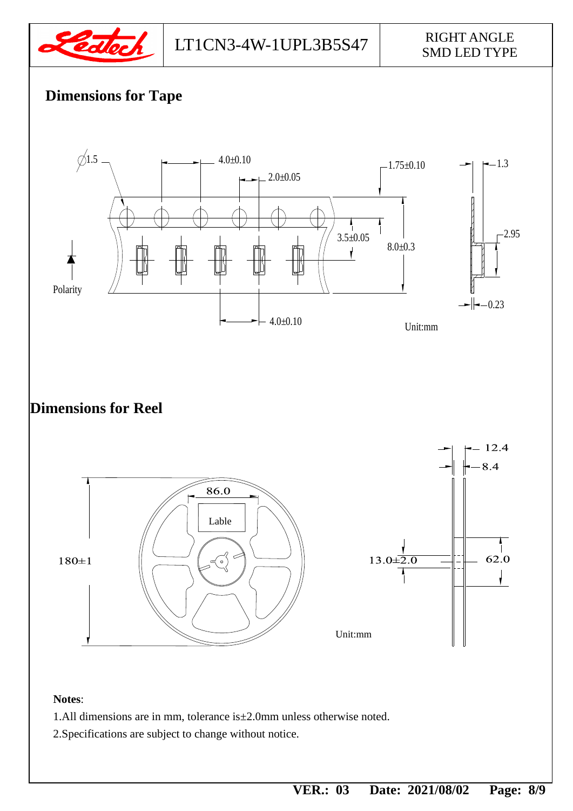

# SMD LED TYPE

# **Dimensions for Tape**



**Dimensions for Reel**



#### **Notes**:

- 1.All dimensions are in mm, tolerance is±2.0mm unless otherwise noted.
- 2.Specifications are subject to change without notice.